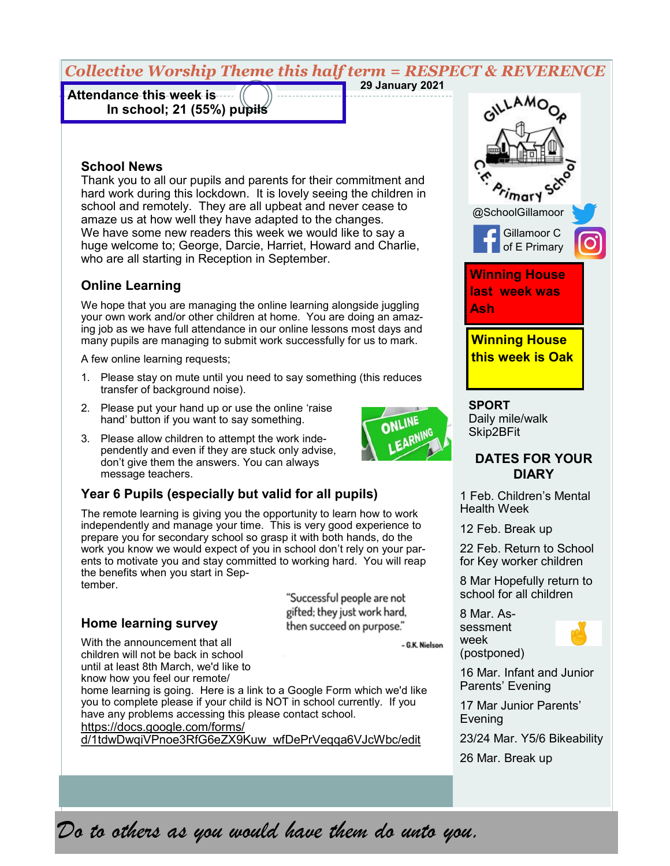# *Collective Worship Theme this half term = RESPECT & REVERENCE*

**Attendance this week is In school; 21 (55%) pupils** 

## **29 January 2021**

## **School News**

Thank you to all our pupils and parents for their commitment and hard work during this lockdown. It is lovely seeing the children in school and remotely. They are all upbeat and never cease to amaze us at how well they have adapted to the changes. We have some new readers this week we would like to say a huge welcome to; George, Darcie, Harriet, Howard and Charlie, who are all starting in Reception in September.

#### **Online Learning**

We hope that you are managing the online learning alongside juggling your own work and/or other children at home. You are doing an amazing job as we have full attendance in our online lessons most days and many pupils are managing to submit work successfully for us to mark.

A few online learning requests;

- 1. Please stay on mute until you need to say something (this reduces transfer of background noise).
- 2. Please put your hand up or use the online 'raise hand' button if you want to say something.
- 3. Please allow children to attempt the work independently and even if they are stuck only advise, don't give them the answers. You can always message teachers.

#### **Year 6 Pupils (especially but valid for all pupils)**

The remote learning is giving you the opportunity to learn how to work independently and manage your time. This is very good experience to prepare you for secondary school so grasp it with both hands, do the work you know we would expect of you in school don't rely on your parents to motivate you and stay committed to working hard. You will reap the benefits when you start in September.

**Home learning survey**

With the announcement that all children will not be back in school until at least 8th March, we'd like to

know how you feel our remote/ home learning is going. Here is a link to a Google Form which we'd like you to complete please if your child is NOT in school currently. If you

have any problems accessing this please contact school.

[https://docs.google.com/forms/](https://docs.google.com/forms/d/1tdwDwqiVPnoe3RfG6eZX9Kuw_wfDePrVeqqa6VJcWbc/edit)

[d/1tdwDwqiVPnoe3RfG6eZX9Kuw\\_wfDePrVeqqa6VJcWbc/edit](https://docs.google.com/forms/d/1tdwDwqiVPnoe3RfG6eZX9Kuw_wfDePrVeqqa6VJcWbc/edit)



**SPORT** Daily mile/walk Skip2BFit

#### **DATES FOR YOUR DIARY**

1 Feb. Children's Mental Health Week

12 Feb. Break up

22 Feb. Return to School for Key worker children

8 Mar Hopefully return to school for all children

8 Mar. Assessment week (postponed)



16 Mar. Infant and Junior Parents' Evening

17 Mar Junior Parents' Evening

23/24 Mar. Y5/6 Bikeability

26 Mar. Break up

*Do to others as you would have them do unto you.*



- G.K. Nielson

"Successful people are not gifted; they just work hard. then succeed on purpose."